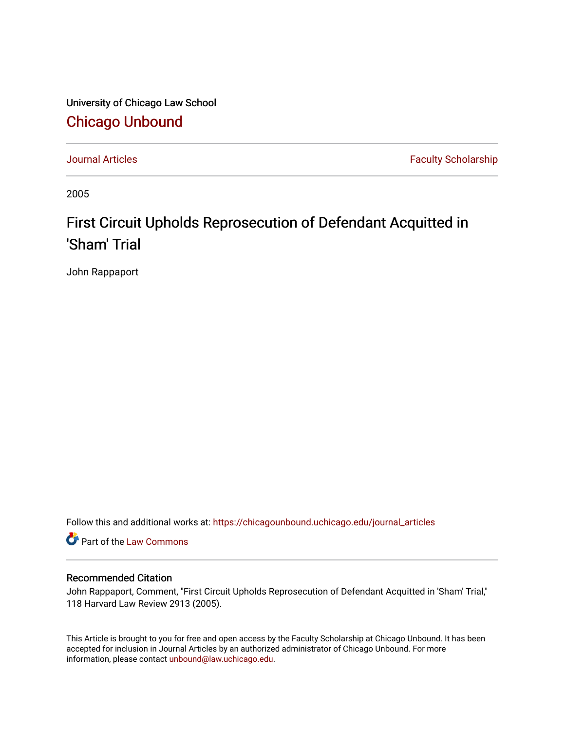University of Chicago Law School [Chicago Unbound](https://chicagounbound.uchicago.edu/)

[Journal Articles](https://chicagounbound.uchicago.edu/journal_articles) **Faculty Scholarship Journal Articles** 

2005

## First Circuit Upholds Reprosecution of Defendant Acquitted in 'Sham' Trial

John Rappaport

Follow this and additional works at: [https://chicagounbound.uchicago.edu/journal\\_articles](https://chicagounbound.uchicago.edu/journal_articles?utm_source=chicagounbound.uchicago.edu%2Fjournal_articles%2F4279&utm_medium=PDF&utm_campaign=PDFCoverPages) 

Part of the [Law Commons](http://network.bepress.com/hgg/discipline/578?utm_source=chicagounbound.uchicago.edu%2Fjournal_articles%2F4279&utm_medium=PDF&utm_campaign=PDFCoverPages)

## Recommended Citation

John Rappaport, Comment, "First Circuit Upholds Reprosecution of Defendant Acquitted in 'Sham' Trial," 118 Harvard Law Review 2913 (2005).

This Article is brought to you for free and open access by the Faculty Scholarship at Chicago Unbound. It has been accepted for inclusion in Journal Articles by an authorized administrator of Chicago Unbound. For more information, please contact [unbound@law.uchicago.edu](mailto:unbound@law.uchicago.edu).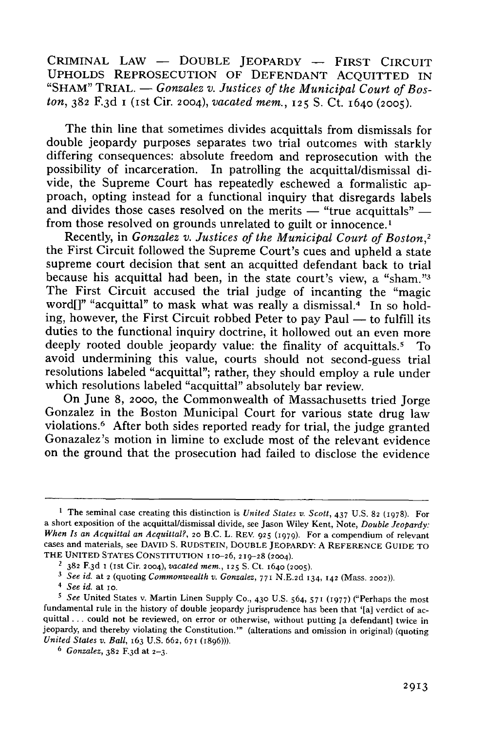CRIMINAL LAW - DOUBLE JEOPARDY - FIRST CIRCUIT **UPHOLDS REPROSECUTION** OF **DEFENDANT** ACQUITTED **IN** "SHAM" TRIAL. — *Gonzalez v. Justices of the Municipal Court of Boston,* **382** F.3d i (ist Cir. 2004), *vacated mem.,* **125 S.** Ct. **1640 (2005).**

The thin line that sometimes divides acquittals from dismissals for double jeopardy purposes separates two trial outcomes with starkly differing consequences: absolute freedom and reprosecution with the possibility of incarceration. In patrolling the acquittal/dismissal divide, the Supreme Court has repeatedly eschewed a formalistic approach, opting instead for a functional inquiry that disregards labels and divides those cases resolved on the merits  $-$  "true acquittals"  $-$  from those resolved on grounds unrelated to guilt or innocence.<sup>1</sup>

Recently, in *Gonzalez v. Justices of the Municipal Court of Boston,2* the First Circuit followed the Supreme Court's cues and upheld a state supreme court decision that sent an acquitted defendant back to trial because his acquittal had been, in the state court's view, a "sham."3 The First Circuit accused the trial judge of incanting the "magic word[]" "acquittal" to mask what was really a dismissal.<sup>4</sup> In so holding, however, the First Circuit robbed Peter to pay Paul  $-$  to fulfill its duties to the functional inquiry doctrine, it hollowed out an even more deeply rooted double jeopardy value: the finality of acquittals.<sup>5</sup> To avoid undermining this value, courts should not second-guess trial resolutions labeled "acquittal"; rather, they should employ a rule under which resolutions labeled "acquittal" absolutely bar review.

On June 8, 2000, the Commonwealth of Massachusetts tried Jorge Gonzalez in the Boston Municipal Court for various state drug law violations.<sup>6</sup> After both sides reported ready for trial, the judge granted Gonazalez's motion in limine to exclude most of the relevant evidence on the ground that the prosecution had failed to disclose the evidence

<sup>&</sup>lt;sup>1</sup> The seminal case creating this distinction is *United States v. Scott*, 437 U.S. 82 (1978). For a short exposition of the acquittal/dismissal divide, see Jason Wiley Kent, Note, *Double Jeopardy: When Is an Acquittal an Acquittal?,* 20 B.C. L. REV. 925 **(1979).** For a compendium of relevant cases and materials, see DAVID S. RUDSTEIN, DOUBLE JEOPARDY: A REFERENCE GUIDE TO THE UNITED STATES CONSTITUTION 110-26, 219-28 (2004).

<sup>2</sup>**382** F.3 d I (ist Cir. 2004), *vacated mem.,* 125 **S.** Ct. 1640 **(2005).**

*<sup>3</sup> See id.* at 2 (quoting *Commonwealth* v. *Gonzalez,* 771 N.E.2d 134, 142 (Mass. 2002)).

<sup>4</sup> *See id.* at Io.

*<sup>5</sup> See* United States v. Martin Linen Supply Co., 430 U.S. 564, **571** (1977) ("Perhaps the most fundamental rule in the history of double jeopardy jurisprudence has been that '[a] verdict of acquittal **...** could not be reviewed, on error or otherwise, without putting [a defendant] twice in jeopardy, and thereby violating the Constitution."' (alterations and omission in original) (quoting *United States v. Ball, 163 U.S. 662, 671 (1896)).* 

<sup>6</sup> *Gonzalez,* 382 F.3 d at 2-3.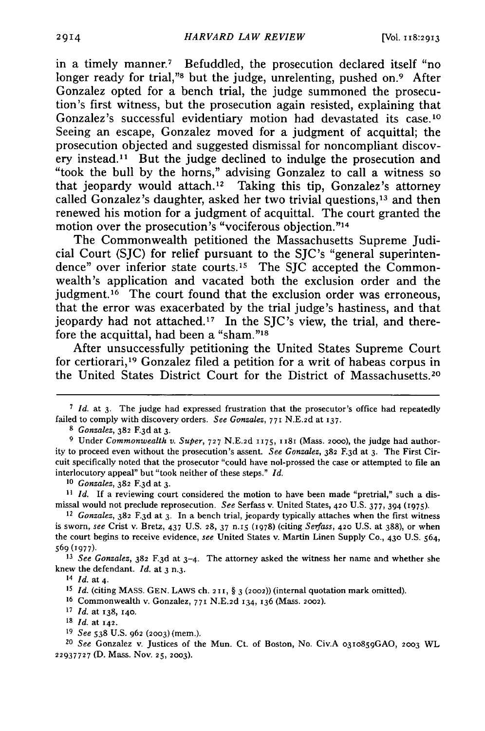in a timely manner.7 Befuddled, the prosecution declared itself "no longer ready for trial,"<sup>8</sup> but the judge, unrelenting, pushed on.<sup>9</sup> After Gonzalez opted for a bench trial, the judge summoned the prosecution's first witness, but the prosecution again resisted, explaining that Gonzalez's successful evidentiary motion had devastated its case.<sup>10</sup> Seeing an escape, Gonzalez moved for a judgment of acquittal; the prosecution objected and suggested dismissal for noncompliant discovery instead.<sup>11</sup> But the judge declined to indulge the prosecution and "took the bull by the horns," advising Gonzalez to call a witness so that jeopardy would attach. 12 Taking this tip, Gonzalez's attorney called Gonzalez's daughter, asked her two trivial questions, $13$  and then renewed his motion for a judgment of acquittal. The court granted the motion over the prosecution's "vociferous objection."<sup>14</sup>

The Commonwealth petitioned the Massachusetts Supreme Judicial Court (SJC) for relief pursuant to the SJC's "general superintendence" over inferior state courts.<sup>15</sup> The SJC accepted the Commonwealth's application and vacated both the exclusion order and the judgment.<sup>16</sup> The court found that the exclusion order was erroneous, that the error was exacerbated by the trial judge's hastiness, and that jeopardy had not attached.<sup>17</sup> In the SJC's view, the trial, and therefore the acquittal, had been a "sham."<sup>18</sup>

After unsuccessfully petitioning the United States Supreme Court for certiorari, 19 Gonzalez filed a petition for a writ of habeas corpus in the United States District Court for the District of Massachusetts. <sup>20</sup>

*20 See* Gonzalez v. Justices of the Mun. Ct. of Boston, No. Civ.A o3io859GAO, **2003** WL 22937727 (D. Mass. Nov. 25, 2003).

**<sup>7</sup>***Id.* at 3. The judge had expressed frustration that the prosecutor's office had repeatedly failed to comply with discovery orders. *See Gonzalez,* **771** N.E.2d at 137.

**<sup>8</sup>***Gonzalez,* **382** F.3 d at 3.

**<sup>9</sup>** Under *Commonwealth v. Super,* 727 N.E.2d 1175, 1181 (Mass. 2000), the judge had authority to proceed even without the prosecution's assent. *See Gonzalez,* **382** F.3 d at 3. The First Circuit specifically noted that the prosecutor "could have nol-prossed the case or attempted to file an interlocutory appeal" but "took neither of these steps." *Id.*

*<sup>10</sup>Gonzalez,* **382** F.3d at 3.

*<sup>11</sup> Id.* If a reviewing court considered the motion to have been made "pretrial," such a dismissal would not preclude reprosecution. *See* Serfass v. United States, 420 U.S. 377, 394 **(975).**

*<sup>12</sup> Gonzalez,* **382** F.3 d at **3.** In a bench trial, jeopardy typically attaches when the first witness is sworn, see Crist v. Bretz, 437 U.S. **28,** 37 n.i5 **(1978)** (citing *Serfass,* **420** U.S. at 388), or when the court begins to receive evidence, *see* United States v. Martin Linen Supply Co., **430** U.S. 564, **5690(977).**

*<sup>13</sup> See Gonzalez,* 382 F.3 d at 3-4. The attorney asked the witness her name and whether she knew the defendant. *Id.* at 3 n.3.

<sup>14</sup> *Id.* at 4.

**<sup>15</sup>** *Id.* (citing MASS. GEN. LAWS ch. 2 **11,** § 3 (2002)) (internal quotation mark omitted).

**<sup>16</sup>**Commonwealth v. Gonzalez, 771 N.E.2d 134, **136** (Mass. 2002).

**<sup>17</sup>** *Id.* at **138, 140.**

**<sup>18</sup>** *Id.* at **142.**

**<sup>19</sup>** *See* 538 U.S. 962 (2003) (mem.).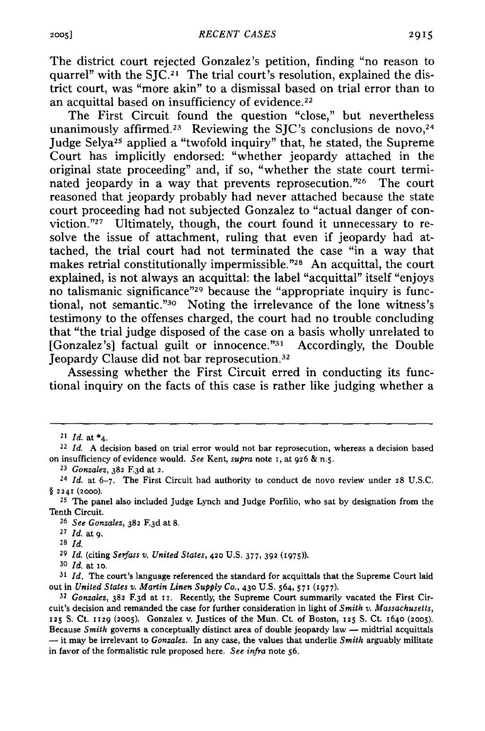The district court rejected Gonzalez's petition, finding "no reason to quarrel" with the SJC.2I The trial court's resolution, explained the district court, was "more akin" to a dismissal based on trial error than to an acquittal based on insufficiency of evidence.<sup>22</sup>

The First Circuit found the question "close," but nevertheless unanimously affirmed.<sup>23</sup> Reviewing the SJC's conclusions de novo,<sup>24</sup> Judge Selya<sup>25</sup> applied a "twofold inquiry" that, he stated, the Supreme Court has implicitly endorsed: "whether jeopardy attached in the original state proceeding" and, if so, "whether the state court terminated jeopardy in a way that prevents reprosecution."<sup>26</sup> The court reasoned that jeopardy probably had never attached because the state court proceeding had not subjected Gonzalez to "actual danger of conviction."27 Ultimately, though, the court found it unnecessary to resolve the issue of attachment, ruling that even if jeopardy had attached, the trial court had not terminated the case "in a way that makes retrial constitutionally impermissible."<sup>28</sup> An acquittal, the court explained, is not always an acquittal: the label "acquittal" itself "enjoys no talismanic significance"29 because the "appropriate inquiry is functional, not semantic."30 Noting the irrelevance of the lone witness's testimony to the offenses charged, the court had no trouble concluding that "the trial judge disposed of the case on a basis wholly unrelated to [Gonzalez's] factual guilt or innocence."<sup>31</sup> Accordingly, the Double Jeopardy Clause did not bar reprosecution.3<sup>2</sup>

Assessing whether the First Circuit erred in conducting its functional inquiry on the facts of this case is rather like judging whether a

**<sup>26</sup>***See Gonzalez,* **382** F.3 d at **8.**

**<sup>27</sup>***Id.* at 9.

**28** *Id.*

**<sup>29</sup>***Id.* (citing *Serfass v. United States,* **420 U.S. 377, 392 (I975)).**

**30** *Id.* at xo.

**<sup>31</sup>***Id.* The court's language referenced the standard for acquittals that the Supreme Court laid out in *United States v. Martin Linen Supply Co.,* 430 U.S. 564, 571 **(1977).**

*<sup>21</sup> Id.* at \*4.

<sup>22</sup>*Id.* A decision based on trial error would not bar reprosecution, whereas a decision based on insufficiency of evidence would. *See* Kent, *supra* note **I,** at 926 & n.5.

**<sup>23</sup>***Gonzalez,* **382** F.3 d at 2.

**<sup>24</sup>***Id.* at 6-7. The First Circuit had authority to conduct de novo review under **28** U.S.C. § **2241 (2000).**

**<sup>25</sup>**The panel also included Judge Lynch and Judge Porfilio, who sat **by** designation from the Tenth Circuit.

*<sup>32</sup>Gonzalez,* **382** F.3 d at rI. Recently, the Supreme Court summarily vacated the First Circuit's decision and remanded the case for further consideration in light of *Smith v. Massachusetts,* **125** S. Ct. **1129 (2005).** Gonzalez v. Justices of the Mun. Ct. of Boston, **125** S. Ct. 1640 **(2005).** Because *Smith* governs a conceptually distinct area of double jeopardy law **-** midtrial acquittals **-** it may be irrelevant to *Gonzalez.* In any case, the values that underlie *Smith* arguably militate in favor of the formalistic rule proposed here. *See infra* note **56.**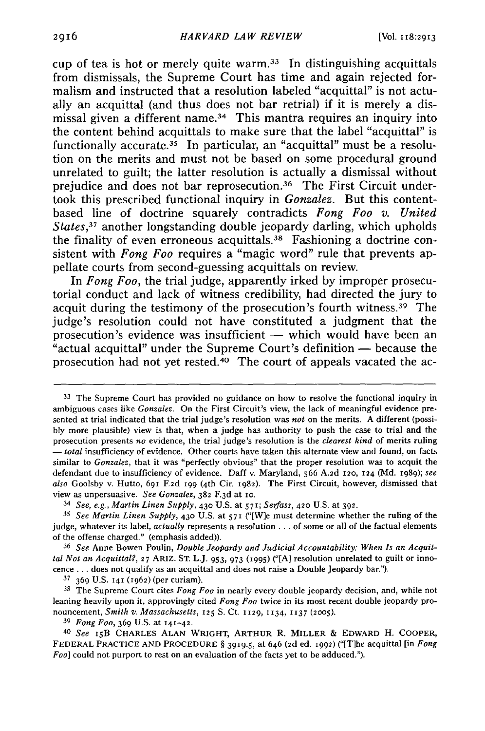cup of tea is hot or merely quite warm. $33$  In distinguishing acquittals from dismissals, the Supreme Court has time and again rejected formalism and instructed that a resolution labeled "acquittal" is not actually an acquittal (and thus does not bar retrial) if it is merely a dismissal given a different name.<sup>34</sup> This mantra requires an inquiry into the content behind acquittals to make sure that the label "acquittal" is functionally accurate.<sup>35</sup> In particular, an "acquittal" must be a resolution on the merits and must not be based on some procedural ground unrelated to guilt; the latter resolution is actually a dismissal without prejudice and does not bar reprosecution.<sup>36</sup> The First Circuit undertook this prescribed functional inquiry in *Gonzalez.* But this contentbased line of doctrine squarely contradicts *Fong Foo v. United States,37* another longstanding double jeopardy darling, which upholds the finality of even erroneous acquittals. 38 Fashioning a doctrine consistent with *Fong Foo* requires a "magic word" rule that prevents appellate courts from second-guessing acquittals on review.

In *Fong Foo,* the trial judge, apparently irked by improper prosecutorial conduct and lack of witness credibility, had directed the jury to acquit during the testimony of the prosecution's fourth witness.39 The judge's resolution could not have constituted a judgment that the prosecution's evidence was insufficient — which would have been an "actual acquittal" under the Supreme Court's definition **-** because the prosecution had not yet rested.40 The court of appeals vacated the ac-

**<sup>37</sup>**369 U.S. 141 (1962) (per curiam).

**<sup>38</sup>**The Supreme Court cites *Fong Foo* in nearly every double jeopardy decision, and, while not leaning heavily upon it, approvingly cited *Fong Foo* twice in its most recent double jeopardy pronouncement, *Smith v. Massachusetts,* 125 **S.** Ct. 1129, **1134, 1137 (2005).**

*<sup>39</sup>Fong Foo,* 369 U.S. at **141-42.**

<sup>40</sup>*See* **I5B** CHARLES ALAN WRIGHT, ARTHUR R. MILLER & EDWARD H. COOPER, FEDERAL PRACTICE **AND** PROCEDURE § 3919.5, at 646 *(2d* ed. 1992) ("[Tlhe acquittal [in *Fong Foo]* could not purport to rest on an evaluation of the facts yet to be adduced.").

**<sup>33</sup>**The Supreme Court has provided no guidance on how to resolve the functional inquiry in ambiguous cases like *Gonzalez.* On the First Circuit's view, the lack of meaningful evidence presented at trial indicated that the trial judge's resolution was *not* on the merits. A different (possibly more plausible) view is that, when a judge has authority to push the case to trial and the prosecution presents *no* evidence, the trial judge's resolution is the *clearest kind* of merits ruling - *total* insufficiency of evidence. Other courts have taken this alternate view and found, on facts similar to *Gonzalez,* that it was "perfectly obvious" that the proper resolution was to acquit the defendant due to insufficiency of evidence. Daff v. Maryland, 566 A.2d 120, 124 (Md. 1989); *see also* Goolsby v. Hutto, 691 *F2d* 199 (4th Cir. 1982). The First Circuit, however, dismissed that view as unpersuasive. *See Gonzalez,* **382** F.3 d at io.

*<sup>34</sup> See, e.g., Martin Linen Supply,* **430** U.S. at 571; *Serfass,* **420** U.S. at **392.**

*<sup>35</sup>See Martin Linen Supply,* **430** U.S. at **57I** ("[W]e must determine whether the ruling of the judge, whatever its label, *actually* represents a resolution... of some or all of the factual elements of the offense charged." (emphasis added)).

**<sup>36</sup>** *See* Anne Bowen Poulin, *Double Jeopardy and Judicial Accountability: When Is an Acquittal Not an Acquittal?,* **27** ARIZ. ST. L.J. 953, 973 **(1995)** ("[A] resolution unrelated to guilt or innocence ... does not qualify as an acquittal and does not raise a Double Jeopardy bar.").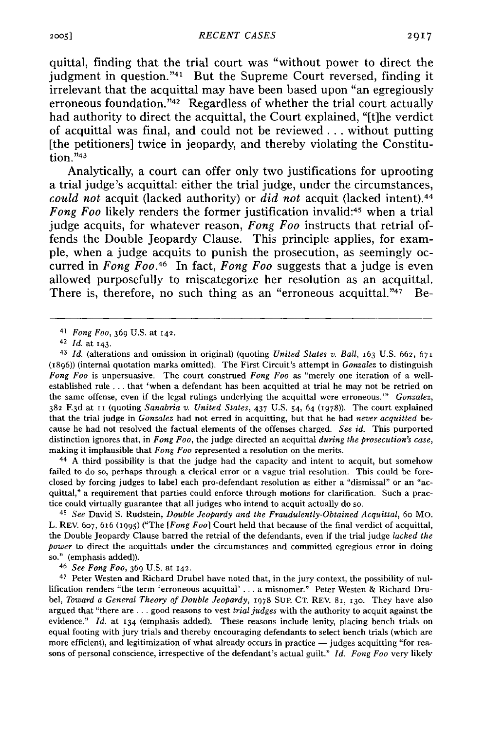quittal, finding that the trial court was "without power to direct the judgment in question."<sup>41</sup> But the Supreme Court reversed, finding it irrelevant that the acquittal may have been based upon "an egregiously erroneous foundation."<sup>42</sup> Regardless of whether the trial court actually had authority to direct the acquittal, the Court explained, **"[t]he** verdict of acquittal was final, and could not be reviewed **...** without putting [the petitioners] twice in jeopardy, and thereby violating the Constitution. $"43$ 

Analytically, a court can offer only two justifications for uprooting a trial judge's acquittal: either the trial judge, under the circumstances, *could not* acquit (lacked authority) or *did not* acquit (lacked intent).44 *Fong Foo* likely renders the former justification invalid:<sup>45</sup> when a trial judge acquits, for whatever reason, *Fong Foo* instructs that retrial offends the Double Jeopardy Clause. This principle applies, for example, when a judge acquits to punish the prosecution, as seemingly occurred in *Fong Foo.46* In fact, *Fong Foo* suggests that a judge is even allowed purposefully to miscategorize her resolution as an acquittal. There is, therefore, no such thing as an "erroneous acquittal." $47$  Be-

<sup>43</sup>*Id.* (alterations and omission in original) (quoting *United States v. Ball,* 163 U.S. 662, **67,** (1896)) (internal quotation marks omitted). The First Circuit's attempt in *Gonzalez* to distinguish *Fong Foo* is unpersuasive. The court construed *Fong Foo* as "merely one iteration of a wellestablished rule **...** that 'when a defendant has been acquitted at trial he may not be retried on the same offense, even if the legal rulings underlying the acquittal were erroneous."' *Gonzalez,* 382 F.3 d at ii (quoting *Sanabria v. United States,* 437 U.S. 54, 64 (1978)). The court explained that the trial judge in *Gonzalez* had not erred in acquitting, but that he had *never acquitted* because he had not resolved the factual elements of the offenses charged. *See id.* This purported distinction ignores that, in *Fong Foo,* the judge directed an acquittal *during the prosecution's case,* making it implausible that *Fong Foo* represented a resolution on the merits.

<sup>44</sup>A third possibility is that the judge had the capacity and intent to acquit, but somehow failed to do so, perhaps through a clerical error or a vague trial resolution. This could be foreclosed by forcing judges to label each pro-defendant resolution as either a "dismissal" or an "acquittal," a requirement that parties could enforce through motions for clarification. Such a practice could virtually guarantee that all judges who intend to acquit actually do so.

45 *See* David S. Rudstein, *Double Jeopardy and the Fraudulently-Obtained Acquittal,* 60 Mo. L. REV. 607, 616 (995) ("The *[Fong Fool* Court held that because of the final verdict of acquittal, the Double Jeopardy Clause barred the retrial of the defendants, even if the trial judge *lacked the power* to direct the acquittals under the circumstances and committed egregious error in doing so." (emphasis added)).

<sup>46</sup>*See Fong Foo,* 369 U.S. at 142.

47 Peter Westen and Richard Drubel have noted that, in the jury context, the possibility of nullification renders "the term 'erroneous acquittal' ... a misnomer." Peter Westen & Richard Drubel, *Toward a General Theory of Double Jeopardy,* 1978 SUP. CT. REV. 81, 13o. They have also argued that "there are **...** good reasons to vest *trial judges* with the authority to acquit against the evidence." *Id.* at 134 (emphasis added). These reasons include lenity, placing bench trials on equal footing with jury trials and thereby encouraging defendants to select bench trials (which are more efficient), and legitimization of what already occurs in practice  $-$  judges acquitting "for reasons of personal conscience, irrespective of the defendant's actual guilt." *Id. Fong Foo* very likely

**<sup>41</sup>** *Fong Foo,* 369 U.S. at 142.

<sup>42</sup>*Id.* at 143.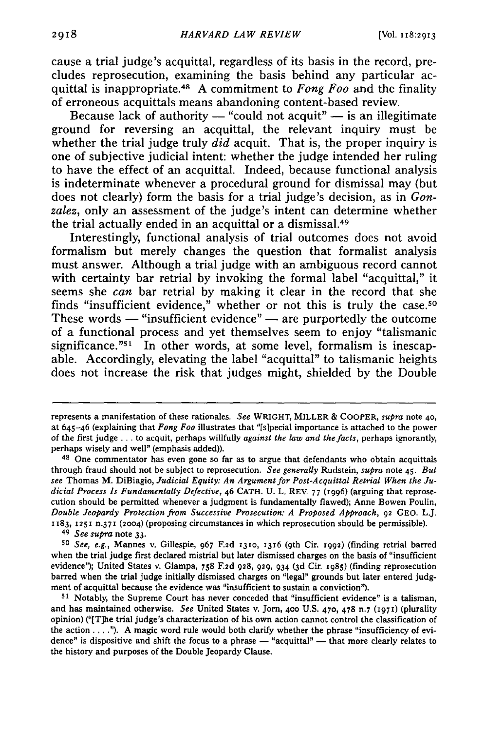cause a trial judge's acquittal, regardless of its basis in the record, precludes reprosecution, examining the basis behind any particular acquittal is inappropriate.4 A commitment to *Fong Foo* and the finality of erroneous acquittals means abandoning content-based review.

Because lack of authority  $-$  "could not acquit"  $-$  is an illegitimate ground for reversing an acquittal, the relevant inquiry must be whether the trial judge truly *did* acquit. That is, the proper inquiry is one of subjective judicial intent: whether the judge intended her ruling to have the effect of an acquittal. Indeed, because functional analysis is indeterminate whenever a procedural ground for dismissal may (but does not clearly) form the basis for a trial judge's decision, as in *Gonzalez,* only an assessment of the judge's intent can determine whether the trial actually ended in an acquittal or a dismissal.<sup>49</sup>

Interestingly, functional analysis of trial outcomes does not avoid formalism but merely changes the question that formalist analysis must answer. Although a trial judge with an ambiguous record cannot with certainty bar retrial by invoking the formal label "acquittal," it seems she *can* bar retrial by making it clear in the record that she finds "insufficient evidence," whether or not this is truly the case.<sup>50</sup> These words  $-$  "insufficient evidence"  $-$  are purportedly the outcome of a functional process and yet themselves seem to enjoy "talismanic significance."<sup>51</sup> In other words, at some level, formalism is inescapable. Accordingly, elevating the label "acquittal" to talismanic heights does not increase the risk that judges might, shielded by the Double

**<sup>49</sup>***See supra* note **33.**

represents a manifestation of these rationales. *See* WRIGHT, MILLER **&** COOPER, *supra* note **40,** at 645-46 (explaining that *Fong Foo* illustrates that "[s]pecial importance is attached to the power of the first judge **...** to acquit, perhaps willfully *against the law and the facts,* perhaps ignorantly, perhaps wisely and well" (emphasis added)).

**<sup>48</sup>**One commentator has even gone so far as to argue that defendants who obtain acquittals through fraud should not be subject to reprosecution. *See generally* Rudstein, *supra* note 45. *But see* Thomas M. DiBiagio, *Judicial Equity: An Argument for Post-Acquittal Retrial When the Judicial Process Is Fundamentally Defective,* 46 **CATH.** U. L, REV. 77 (I996) (arguing that reprosecution should be permitted whenever a judgment is fundamentally flawed); Anne Bowen Poulin, *Double Jeopardy Protection from Successive Prosecution: A Proposed Approach,* **92 GEO.** L.J. **1183, 1251** n.371 **(2004)** (proposing circumstances in which reprosecution should be permissible).

*<sup>50</sup>See, e.g.,* Mannes v. Gillespie, **967 F2d 1310, 1316** (9th Cir. **1992)** (finding retrial barred when the trial judge first declared mistrial but later dismissed charges on the basis of "insufficient evidence"); United States v. Giampa, **758 F2d 928, 929,** 934 **(3d** Cir. **1985)** (finding reprosecution barred when the trial judge initially dismissed charges on "legal" grounds but later entered **judg**ment of acquittal because the evidence was "insufficient to sustain a conviction").

**<sup>51</sup>**Notably, the Supreme Court has never conceded that "insufficient evidence" is a talisman, and has maintained otherwise. *See* United States v. Jorn, **400 U.S. 470, 478** n.7 **(1971)** (plurality opinion) ("[T]he trial judge's characterization of his own action cannot control the classification of the action. **... '). A** magic word rule would both clarify whether the phrase "insufficiency of evidence" is dispositive and shift the focus to a phrase  $-$  "acquittal"  $-$  that more clearly relates to the history and purposes of the Double Jeopardy Clause.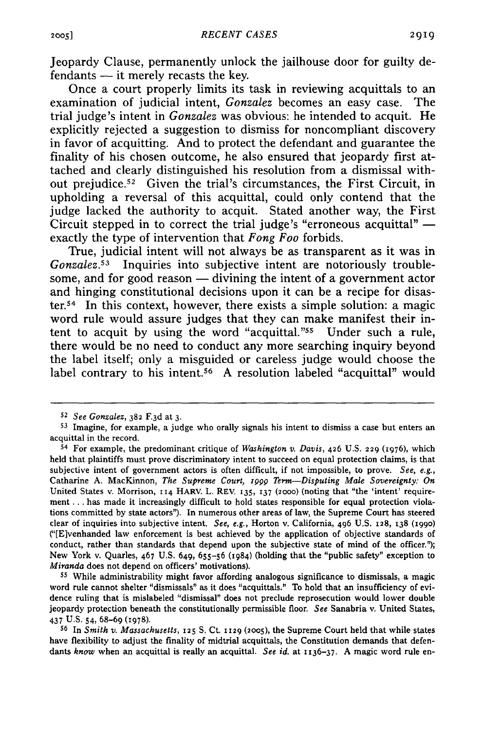Jeopardy Clause, permanently unlock the jailhouse door for guilty defendants **-** it merely recasts the key.

Once a court properly limits its task in reviewing acquittals to an examination of judicial intent, *Gonzalez* becomes an easy case. The trial judge's intent in *Gonzalez* was obvious: he intended to acquit. He explicitly rejected a suggestion to dismiss for noncompliant discovery in favor of acquitting. And to protect the defendant and guarantee the finality of his chosen outcome, he also ensured that jeopardy first attached and clearly distinguished his resolution from a dismissal without prejudice.<sup>52</sup> Given the trial's circumstances, the First Circuit, in upholding a reversal of this acquittal, could only contend that the judge lacked the authority to acquit. Stated another way, the First Circuit stepped in to correct the trial judge's "erroneous acquittal"  exactly the type of intervention that *Fong Foo* forbids.

True, judicial intent will not always be as transparent as it was in *Gonzalez.53* Inquiries into subjective intent are notoriously troublesome, and for good reason **-** divining the intent of a government actor and hinging constitutional decisions upon it can be a recipe for disaster.<sup>54</sup> In this context, however, there exists a simple solution: a magic word rule would assure judges that they can make manifest their intent to acquit by using the word "acquittal."<sup>55</sup> Under such a rule, there would be no need to conduct any more searching inquiry beyond the label itself; only a misguided or careless judge would choose the label contrary to his intent.56 **A** resolution labeled "acquittal" would

*<sup>52</sup>See Gonzalez,* **382 F.3d** at **3.**

**<sup>53</sup>**Imagine, for example, a judge who orally signals his intent to dismiss a case but enters an acquittal in the record.

**<sup>54</sup>**For example, the predominant critique of *Washington v. Davis,* 426 **U.S. 229 (1976),** which held that plaintiffs must prove discriminatory intent to succeed on equal protection claims, is that subjective intent of government actors is often difficult, if not impossible, to prove. *See, e.g.,* Catharine **A.** MacKinnon, *The Supreme Court, 1999 Term-Disputing Male Sovereignty: On* United States v. Morrison, **II4** HARV. L. REV. **135, 137 (2000)** (noting that "the 'intent' requirement **...** has made it increasingly difficult to hold states responsible for equal protection violations committed **by** state actors"). In numerous other areas of law, the Supreme Court has steered clear of inquiries into subjective intent. *See, e.g.,* Horton v. California, 496 **U.S. 128, 138 (099o)** ("[E]venhanded law enforcement is best achieved **by** the application of objective standards of conduct, rather than standards that depend upon the subjective state of mind of the officer.'); New York v. Quarles, 467 **U.S.** 649, **655-56** (1984) (holding that the "public safety" exception to *Miranda* does not depend on officers' motivations).

**<sup>55</sup>**While administrability might favor affording analogous significance to dismissals, a magic word rule cannot shelter "dismissals" as it does "acquittals." To hold that an insufficiency of evidence ruling that is mislabeled "dismissal" does not preclude reprosecution would lower double jeopardy protection beneath the constitutionally permissible floor. *See* Sanabria v. United States, 437 **U.S.** 54, **68-69** (1978).

**<sup>56</sup>**In *Smith v. Massachusetts,* **125 S.** Ct. **1129 (2005),** the Supreme Court held that while states have flexibility to adjust the finality of midtrial acquittals, the Constitution demands that defendants *know* when an acquittal is really an acquittal. *See id.* at **I136-37. A** magic word rule en-